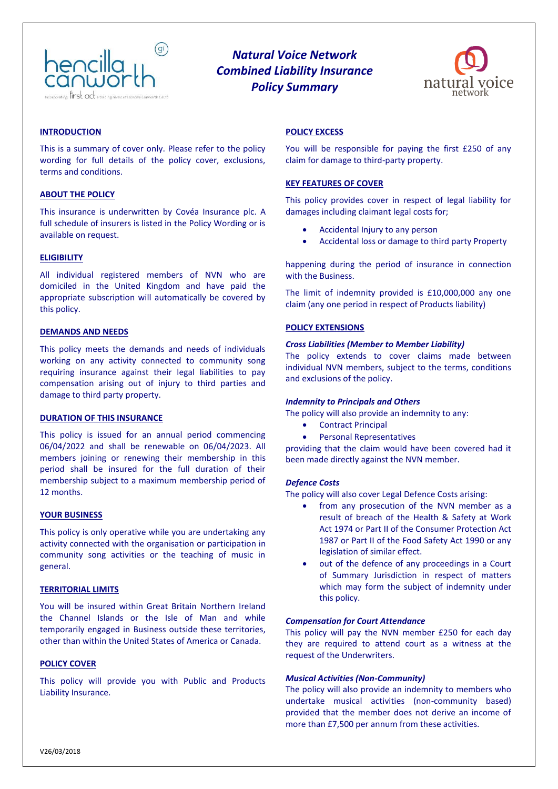

# *Natural Voice Network Combined Liability Insurance Policy Summary*



## **INTRODUCTION**

This is a summary of cover only. Please refer to the policy wording for full details of the policy cover, exclusions, terms and conditions.

## **ABOUT THE POLICY**

This insurance is underwritten by Covéa Insurance plc. A full schedule of insurers is listed in the Policy Wording or is available on request.

## **ELIGIBILITY**

All individual registered members of NVN who are domiciled in the United Kingdom and have paid the appropriate subscription will automatically be covered by this policy.

## **DEMANDS AND NEEDS**

This policy meets the demands and needs of individuals working on any activity connected to community song requiring insurance against their legal liabilities to pay compensation arising out of injury to third parties and damage to third party property.

#### **DURATION OF THIS INSURANCE**

This policy is issued for an annual period commencing 06/04/2022 and shall be renewable on 06/04/2023. All members joining or renewing their membership in this period shall be insured for the full duration of their membership subject to a maximum membership period of 12 months.

#### **YOUR BUSINESS**

This policy is only operative while you are undertaking any activity connected with the organisation or participation in community song activities or the teaching of music in general.

#### **TERRITORIAL LIMITS**

You will be insured within Great Britain Northern Ireland the Channel Islands or the Isle of Man and while temporarily engaged in Business outside these territories, other than within the United States of America or Canada.

# **POLICY COVER**

This policy will provide you with Public and Products Liability Insurance.

## **POLICY EXCESS**

You will be responsible for paying the first £250 of any claim for damage to third-party property.

#### **KEY FEATURES OF COVER**

This policy provides cover in respect of legal liability for damages including claimant legal costs for;

- Accidental Injury to any person
- Accidental loss or damage to third party Property

happening during the period of insurance in connection with the Business.

The limit of indemnity provided is £10,000,000 any one claim (any one period in respect of Products liability)

## **POLICY EXTENSIONS**

#### *Cross Liabilities (Member to Member Liability)*

The policy extends to cover claims made between individual NVN members, subject to the terms, conditions and exclusions of the policy.

#### *Indemnity to Principals and Others*

The policy will also provide an indemnity to any:

- Contract Principal
- Personal Representatives

providing that the claim would have been covered had it been made directly against the NVN member.

#### *Defence Costs*

The policy will also cover Legal Defence Costs arising:

- from any prosecution of the NVN member as a result of breach of the Health & Safety at Work Act 1974 or Part II of the Consumer Protection Act 1987 or Part II of the Food Safety Act 1990 or any legislation of similar effect.
- out of the defence of any proceedings in a Court of Summary Jurisdiction in respect of matters which may form the subject of indemnity under this policy.

## *Compensation for Court Attendance*

This policy will pay the NVN member £250 for each day they are required to attend court as a witness at the request of the Underwriters.

#### *Musical Activities (Non-Community)*

The policy will also provide an indemnity to members who undertake musical activities (non-community based) provided that the member does not derive an income of more than £7,500 per annum from these activities.